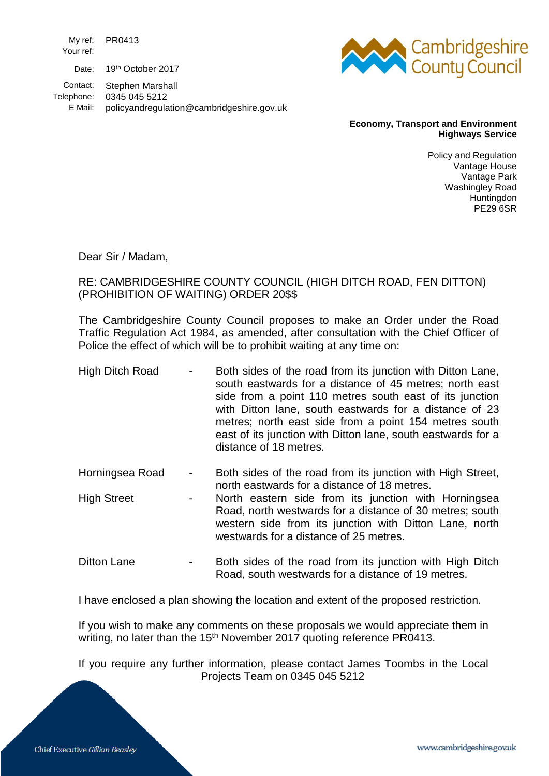My ref: PR0413 Your ref: Date: 19th October 2017

Contact: Stephen Marshall

Telephone: 0345 045 5212

E Mail: policyandregulation@cambridgeshire.gov.uk



## **Economy, Transport and Environment Highways Service**

Policy and Regulation Vantage House Vantage Park Washingley Road **Huntingdon** PE29 6SR

Dear Sir / Madam,

## RE: CAMBRIDGESHIRE COUNTY COUNCIL (HIGH DITCH ROAD, FEN DITTON) (PROHIBITION OF WAITING) ORDER 20\$\$

The Cambridgeshire County Council proposes to make an Order under the Road Traffic Regulation Act 1984, as amended, after consultation with the Chief Officer of Police the effect of which will be to prohibit waiting at any time on:

- High Ditch Road Both sides of the road from its junction with Ditton Lane, south eastwards for a distance of 45 metres; north east side from a point 110 metres south east of its junction with Ditton lane, south eastwards for a distance of 23 metres; north east side from a point 154 metres south east of its junction with Ditton lane, south eastwards for a distance of 18 metres.
- Horningsea Road Both sides of the road from its junction with High Street, north eastwards for a distance of 18 metres.
- High Street **-** North eastern side from its junction with Horningsea Road, north westwards for a distance of 30 metres; south western side from its junction with Ditton Lane, north westwards for a distance of 25 metres.
- Ditton Lane **-** Both sides of the road from its junction with High Ditch Road, south westwards for a distance of 19 metres.

I have enclosed a plan showing the location and extent of the proposed restriction.

If you wish to make any comments on these proposals we would appreciate them in writing, no later than the 15<sup>th</sup> November 2017 quoting reference PR0413.

If you require any further information, please contact James Toombs in the Local Projects Team on 0345 045 5212